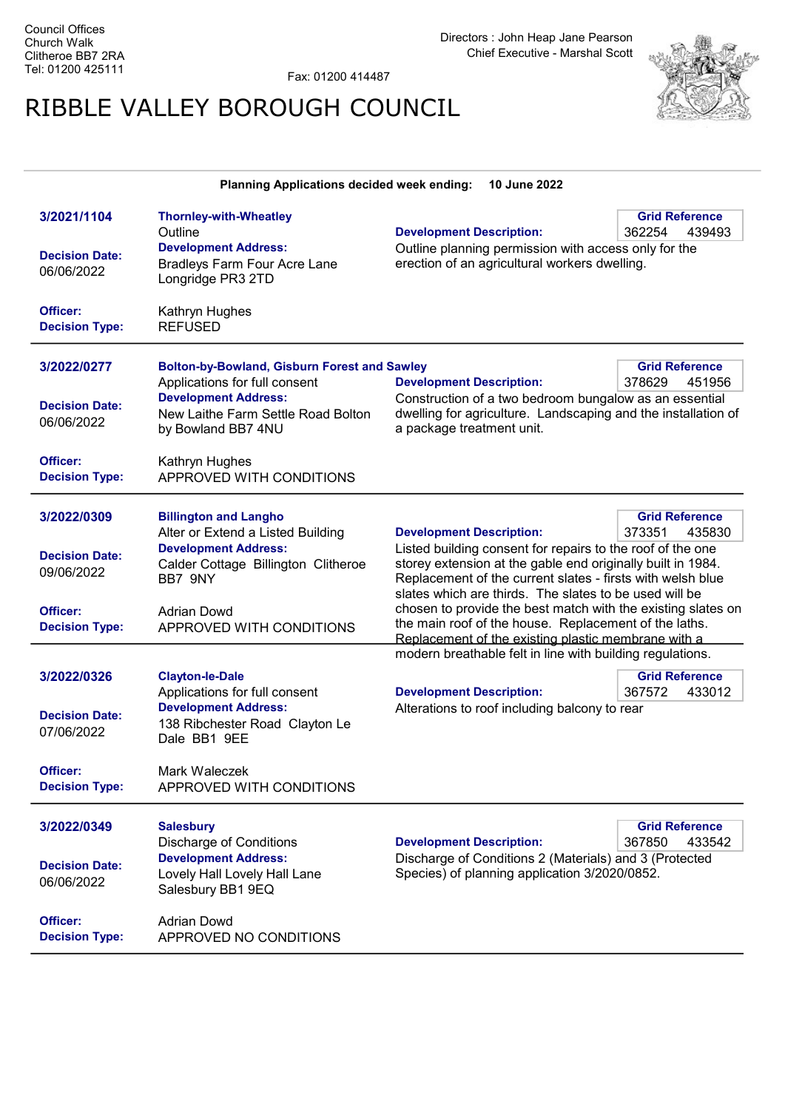Fax: 01200 414487

## RIBBLE VALLEY BOROUGH COUNCIL



| Planning Applications decided week ending:<br>10 June 2022                              |                                                                                                                                                                                                      |                                                                                                                                                                                                                                                                                                                                                                                                                                                                                                                   |                                           |
|-----------------------------------------------------------------------------------------|------------------------------------------------------------------------------------------------------------------------------------------------------------------------------------------------------|-------------------------------------------------------------------------------------------------------------------------------------------------------------------------------------------------------------------------------------------------------------------------------------------------------------------------------------------------------------------------------------------------------------------------------------------------------------------------------------------------------------------|-------------------------------------------|
| 3/2021/1104<br><b>Decision Date:</b><br>06/06/2022                                      | <b>Thornley-with-Wheatley</b><br>Outline<br><b>Development Address:</b><br><b>Bradleys Farm Four Acre Lane</b><br>Longridge PR3 2TD                                                                  | <b>Development Description:</b><br>Outline planning permission with access only for the<br>erection of an agricultural workers dwelling.                                                                                                                                                                                                                                                                                                                                                                          | <b>Grid Reference</b><br>362254<br>439493 |
| Officer:<br><b>Decision Type:</b>                                                       | Kathryn Hughes<br><b>REFUSED</b>                                                                                                                                                                     |                                                                                                                                                                                                                                                                                                                                                                                                                                                                                                                   |                                           |
| 3/2022/0277<br><b>Decision Date:</b><br>06/06/2022                                      | <b>Bolton-by-Bowland, Gisburn Forest and Sawley</b><br>Applications for full consent<br><b>Development Address:</b><br>New Laithe Farm Settle Road Bolton<br>by Bowland BB7 4NU                      | <b>Development Description:</b><br>Construction of a two bedroom bungalow as an essential<br>dwelling for agriculture. Landscaping and the installation of<br>a package treatment unit.                                                                                                                                                                                                                                                                                                                           | <b>Grid Reference</b><br>378629<br>451956 |
| Officer:<br><b>Decision Type:</b>                                                       | Kathryn Hughes<br>APPROVED WITH CONDITIONS                                                                                                                                                           |                                                                                                                                                                                                                                                                                                                                                                                                                                                                                                                   |                                           |
| 3/2022/0309<br><b>Decision Date:</b><br>09/06/2022<br>Officer:<br><b>Decision Type:</b> | <b>Billington and Langho</b><br>Alter or Extend a Listed Building<br><b>Development Address:</b><br>Calder Cottage Billington Clitheroe<br>BB7 9NY<br><b>Adrian Dowd</b><br>APPROVED WITH CONDITIONS | <b>Grid Reference</b><br><b>Development Description:</b><br>373351<br>435830<br>Listed building consent for repairs to the roof of the one<br>storey extension at the gable end originally built in 1984.<br>Replacement of the current slates - firsts with welsh blue<br>slates which are thirds. The slates to be used will be<br>chosen to provide the best match with the existing slates on<br>the main roof of the house. Replacement of the laths.<br>Replacement of the existing plastic membrane with a |                                           |
| 3/2022/0326<br><b>Decision Date:</b><br>07/06/2022<br>Officer:<br><b>Decision Type:</b> | <b>Clayton-le-Dale</b><br>Applications for full consent<br><b>Development Address:</b><br>138 Ribchester Road Clayton Le<br>Dale BB1 9EE<br>Mark Waleczek<br>APPROVED WITH CONDITIONS                | modern breathable felt in line with building regulations.<br><b>Development Description:</b><br>Alterations to roof including balcony to rear                                                                                                                                                                                                                                                                                                                                                                     | <b>Grid Reference</b><br>367572<br>433012 |
| 3/2022/0349<br><b>Decision Date:</b><br>06/06/2022<br>Officer:<br><b>Decision Type:</b> | <b>Salesbury</b><br><b>Discharge of Conditions</b><br><b>Development Address:</b><br>Lovely Hall Lovely Hall Lane<br>Salesbury BB1 9EQ<br><b>Adrian Dowd</b><br>APPROVED NO CONDITIONS               | <b>Development Description:</b><br>Discharge of Conditions 2 (Materials) and 3 (Protected<br>Species) of planning application 3/2020/0852.                                                                                                                                                                                                                                                                                                                                                                        | <b>Grid Reference</b><br>367850<br>433542 |